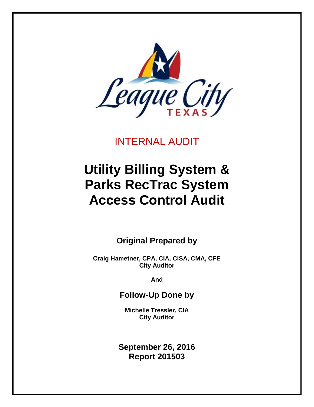

INTERNAL AUDIT

# **Utility Billing System & Parks RecTrac System Access Control Audit**

**Original Prepared by**

**Craig Hametner, CPA, CIA, CISA, CMA, CFE City Auditor**

**And**

**Follow-Up Done by**

**Michelle Tressler, CIA City Auditor**

**September 26, 2016 Report 201503**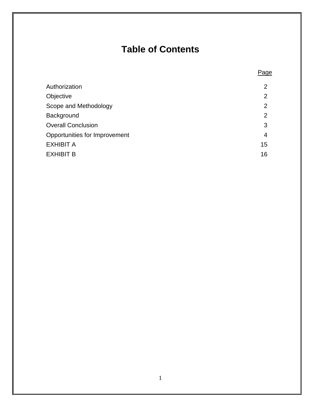# **Table of Contents**

Page

<span id="page-1-0"></span>

| Authorization                 | $\overline{2}$ |
|-------------------------------|----------------|
| Objective                     | $\overline{2}$ |
| Scope and Methodology         | $\overline{2}$ |
| Background                    | $\overline{2}$ |
| <b>Overall Conclusion</b>     | 3              |
| Opportunities for Improvement | 4              |
| EXHIBIT A                     | 15             |
| EXHIBIT B                     | 16             |
|                               |                |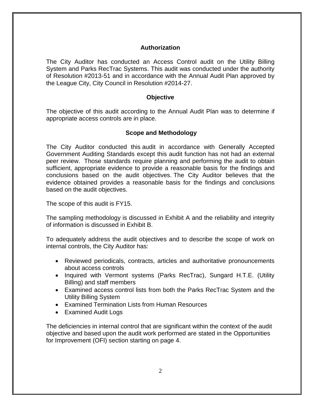#### **Authorization**

The City Auditor has conducted an Access Control audit on the Utility Billing System and Parks RecTrac Systems. This audit was conducted under the authority of Resolution #2013-51 and in accordance with the Annual Audit Plan approved by the League City, City Council in Resolution #2014-27.

#### **Objective**

<span id="page-2-0"></span>The objective of this audit according to the Annual Audit Plan was to determine if appropriate access controls are in place.

#### <span id="page-2-1"></span>**Scope and Methodology**

The City Auditor conducted this audit in accordance with Generally Accepted Government Auditing Standards except this audit function has not had an external peer review. Those standards require planning and performing the audit to obtain sufficient, appropriate evidence to provide a reasonable basis for the findings and conclusions based on the audit objectives. The City Auditor believes that the evidence obtained provides a reasonable basis for the findings and conclusions based on the audit objectives.

The scope of this audit is FY15.

The sampling methodology is discussed in Exhibit A and the reliability and integrity of information is discussed in Exhibit B.

To adequately address the audit objectives and to describe the scope of work on internal controls, the City Auditor has:

- Reviewed periodicals, contracts, articles and authoritative pronouncements about access controls
- Inquired with Vermont systems (Parks RecTrac), Sungard H.T.E. (Utility Billing) and staff members
- Examined access control lists from both the Parks RecTrac System and the Utility Billing System
- Examined Termination Lists from Human Resources
- Examined Audit Logs

The deficiencies in internal control that are significant within the context of the audit objective and based upon the audit work performed are stated in the Opportunities for Improvement (OFI) section starting on page 4.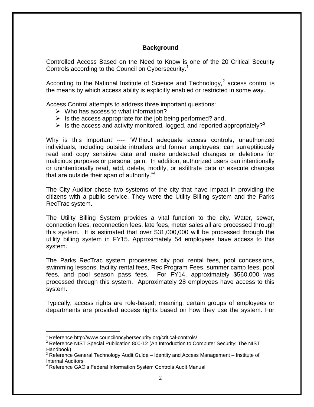#### **Background**

<span id="page-3-0"></span>Controlled Access Based on the Need to Know is one of the 20 Critical Security Controls according to the Council on Cybersecurity.<sup>1</sup>

According to the National Institute of Science and Technology,<sup>2</sup> access control is the means by which access ability is explicitly enabled or restricted in some way.

Access Control attempts to address three important questions:

- $\triangleright$  Who has access to what information?
- $\triangleright$  Is the access appropriate for the job being performed? and,
- Is the access and activity monitored, logged, and reported appropriately?<sup>3</sup>

Why is this important ---- "Without adequate access controls, unauthorized individuals, including outside intruders and former employees, can surreptitiously read and copy sensitive data and make undetected changes or deletions for malicious purposes or personal gain. In addition, authorized users can intentionally or unintentionally read, add, delete, modify, or exfiltrate data or execute changes that are outside their span of authority."<sup>4</sup>

The City Auditor chose two systems of the city that have impact in providing the citizens with a public service. They were the Utility Billing system and the Parks RecTrac system.

The Utility Billing System provides a vital function to the city. Water, sewer, connection fees, reconnection fees, late fees, meter sales all are processed through this system. It is estimated that over \$31,000,000 will be processed through the utility billing system in FY15. Approximately 54 employees have access to this system.

The Parks RecTrac system processes city pool rental fees, pool concessions, swimming lessons, facility rental fees, Rec Program Fees, summer camp fees, pool fees, and pool season pass fees. For FY14, approximately \$560,000 was processed through this system. Approximately 28 employees have access to this system.

Typically, access rights are role-based; meaning, certain groups of employees or departments are provided access rights based on how they use the system. For

 $\overline{a}$ 

<sup>&</sup>lt;sup>1</sup> Reference http://www.counciloncybersecurity.org/critical-controls/

<sup>&</sup>lt;sup>2</sup> Reference NIST Special Publication 800-12 (An Introduction to Computer Security: The NIST Handbook)

 $3$  Reference General Technology Audit Guide – Identity and Access Management – Institute of Internal Auditors

<sup>&</sup>lt;sup>4</sup> Reference GAO's Federal Information System Controls Audit Manual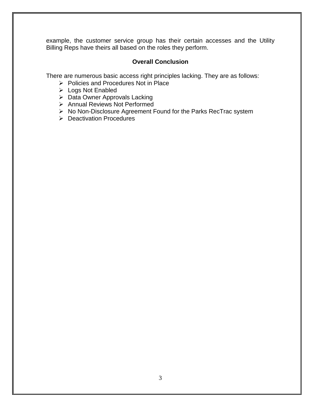example, the customer service group has their certain accesses and the Utility Billing Reps have theirs all based on the roles they perform.

# **Overall Conclusion**

<span id="page-4-0"></span>There are numerous basic access right principles lacking. They are as follows:

- $\triangleright$  Policies and Procedures Not in Place
- Logs Not Enabled
- $\triangleright$  Data Owner Approvals Lacking
- Annual Reviews Not Performed
- $\triangleright$  No Non-Disclosure Agreement Found for the Parks RecTrac system
- $\triangleright$  Deactivation Procedures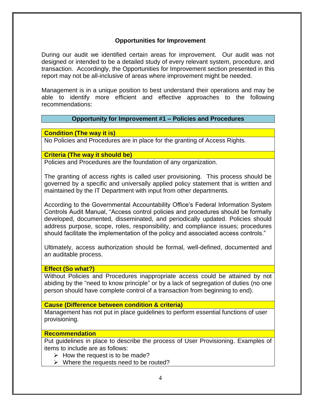### **Opportunities for Improvement**

<span id="page-5-0"></span>During our audit we identified certain areas for improvement. Our audit was not designed or intended to be a detailed study of every relevant system, procedure, and transaction. Accordingly, the Opportunities for Improvement section presented in this report may not be all-inclusive of areas where improvement might be needed.

Management is in a unique position to best understand their operations and may be able to identify more efficient and effective approaches to the following recommendations:

#### **Opportunity for Improvement #1 – Policies and Procedures**

**Condition (The way it is)**

No Policies and Procedures are in place for the granting of Access Rights.

#### **Criteria (The way it should be)**

Policies and Procedures are the foundation of any organization.

The granting of access rights is called user provisioning. This process should be governed by a specific and universally applied policy statement that is written and maintained by the IT Department with input from other departments.

According to the Governmental Accountability Office's Federal Information System Controls Audit Manual, "Access control policies and procedures should be formally developed, documented, disseminated, and periodically updated. Policies should address purpose, scope, roles, responsibility, and compliance issues; procedures should facilitate the implementation of the policy and associated access controls."

Ultimately, access authorization should be formal, well-defined, documented and an auditable process.

#### **Effect (So what?)**

Without Policies and Procedures inappropriate access could be attained by not abiding by the "need to know principle" or by a lack of segregation of duties (no one person should have complete control of a transaction from beginning to end).

#### **Cause (Difference between condition & criteria)**

Management has not put in place guidelines to perform essential functions of user provisioning.

#### **Recommendation**

Put guidelines in place to describe the process of User Provisioning. Examples of items to include are as follows:

- $\triangleright$  How the request is to be made?
- $\triangleright$  Where the requests need to be routed?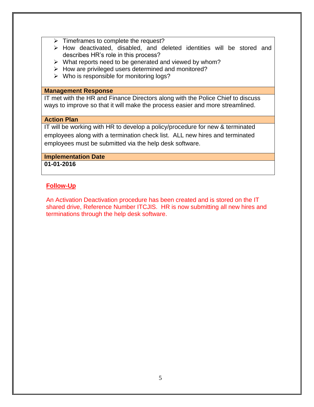- $\triangleright$  Timeframes to complete the request?
- $\triangleright$  How deactivated, disabled, and deleted identities will be stored and describes HR's role in this process?
- $\triangleright$  What reports need to be generated and viewed by whom?
- $\triangleright$  How are privileged users determined and monitored?
- $\triangleright$  Who is responsible for monitoring logs?

#### **Management Response**

IT met with the HR and Finance Directors along with the Police Chief to discuss ways to improve so that it will make the process easier and more streamlined.

#### **Action Plan**

IT will be working with HR to develop a policy/procedure for new & terminated employees along with a termination check list. ALL new hires and terminated employees must be submitted via the help desk software.

# **Implementation Date**

**01-01-2016**

# **Follow-Up**

An Activation Deactivation procedure has been created and is stored on the IT shared drive, Reference Number ITCJIS. HR is now submitting all new hires and terminations through the help desk software.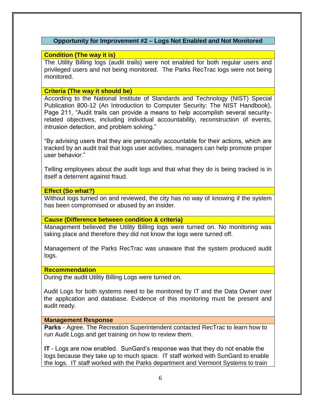### **Opportunity for Improvement #2 – Logs Not Enabled and Not Monitored**

### **Condition (The way it is)**

The Utility Billing logs (audit trails) were not enabled for both regular users and privileged users and not being monitored. The Parks RecTrac logs were not being monitored.

#### **Criteria (The way it should be)**

According to the National Institute of Standards and Technology (NIST) Special Publication 800-12 (An Introduction to Computer Security: The NIST Handbook), Page 211, "Audit trails can provide a means to help accomplish several securityrelated objectives, including individual accountability, reconstruction of events, intrusion detection, and problem solving."

"By advising users that they are personally accountable for their actions, which are tracked by an audit trail that logs user activities, managers can help promote proper user behavior."

Telling employees about the audit logs and that what they do is being tracked is in itself a deterrent against fraud.

# **Effect (So what?)**

Without logs turned on and reviewed, the city has no way of knowing if the system has been compromised or abused by an insider.

#### **Cause (Difference between condition & criteria)**

Management believed the Utility Billing logs were turned on. No monitoring was taking place and therefore they did not know the logs were turned off.

Management of the Parks RecTrac was unaware that the system produced audit logs.

#### **Recommendation**

During the audit Utility Billing Logs were turned on.

Audit Logs for both systems need to be monitored by IT and the Data Owner over the application and database. Evidence of this monitoring must be present and audit ready.

#### **Management Response**

**Parks** - Agree. The Recreation Superintendent contacted RecTrac to learn how to run Audit Logs and get training on how to review them.

**IT** - Logs are now enabled. SunGard's response was that they do not enable the logs because they take up to much space. IT staff worked with SunGard to enable the logs. IT staff worked with the Parks department and Vermont Systems to train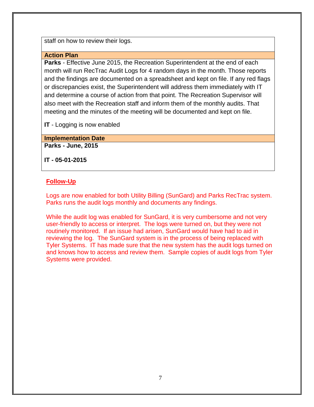staff on how to review their logs.

#### **Action Plan**

**Parks** - Effective June 2015, the Recreation Superintendent at the end of each month will run RecTrac Audit Logs for 4 random days in the month. Those reports and the findings are documented on a spreadsheet and kept on file. If any red flags or discrepancies exist, the Superintendent will address them immediately with IT and determine a course of action from that point. The Recreation Supervisor will also meet with the Recreation staff and inform them of the monthly audits. That meeting and the minutes of the meeting will be documented and kept on file.

**IT** - Logging is now enabled

**Implementation Date Parks - June, 2015**

**IT - 05-01-2015**

# **Follow-Up**

Logs are now enabled for both Utility Billing (SunGard) and Parks RecTrac system. Parks runs the audit logs monthly and documents any findings.

While the audit log was enabled for SunGard, it is very cumbersome and not very user-friendly to access or interpret. The logs were turned on, but they were not routinely monitored. If an issue had arisen, SunGard would have had to aid in reviewing the log. The SunGard system is in the process of being replaced with Tyler Systems. IT has made sure that the new system has the audit logs turned on and knows how to access and review them. Sample copies of audit logs from Tyler Systems were provided.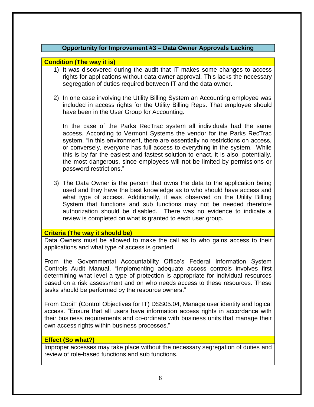# **Opportunity for Improvement #3 – Data Owner Approvals Lacking**

### **Condition (The way it is)**

- 1) It was discovered during the audit that IT makes some changes to access rights for applications without data owner approval. This lacks the necessary segregation of duties required between IT and the data owner.
- 2) In one case involving the Utility Billing System an Accounting employee was included in access rights for the Utility Billing Reps. That employee should have been in the User Group for Accounting.

In the case of the Parks RecTrac system all individuals had the same access. According to Vermont Systems the vendor for the Parks RecTrac system, "In this environment, there are essentially no restrictions on access, or conversely, everyone has full access to everything in the system. While this is by far the easiest and fastest solution to enact, it is also, potentially, the most dangerous, since employees will not be limited by permissions or password restrictions."

3) The Data Owner is the person that owns the data to the application being used and they have the best knowledge as to who should have access and what type of access. Additionally, it was observed on the Utility Billing System that functions and sub functions may not be needed therefore authorization should be disabled. There was no evidence to indicate a review is completed on what is granted to each user group.

#### **Criteria (The way it should be)**

Data Owners must be allowed to make the call as to who gains access to their applications and what type of access is granted.

From the Governmental Accountability Office's Federal Information System Controls Audit Manual, "Implementing adequate access controls involves first determining what level a type of protection is appropriate for individual resources based on a risk assessment and on who needs access to these resources. These tasks should be performed by the resource owners."

From CobiT (Control Objectives for IT) DSS05.04, Manage user identity and logical access. "Ensure that all users have information access rights in accordance with their business requirements and co-ordinate with business units that manage their own access rights within business processes."

#### **Effect (So what?)**

Improper accesses may take place without the necessary segregation of duties and review of role-based functions and sub functions.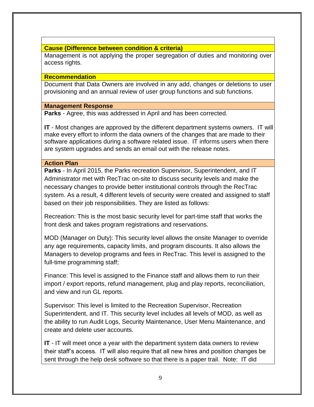# **Cause (Difference between condition & criteria)**

Management is not applying the proper segregation of duties and monitoring over access rights.

# **Recommendation**

Document that Data Owners are involved in any add, changes or deletions to user provisioning and an annual review of user group functions and sub functions.

# **Management Response**

**Parks** - Agree, this was addressed in April and has been corrected.

**IT** - Most changes are approved by the different department systems owners. IT will make every effort to inform the data owners of the changes that are made to their software applications during a software related issue. IT informs users when there are system upgrades and sends an email out with the release notes.

#### **Action Plan**

**Parks** - In April 2015, the Parks recreation Supervisor, Superintendent, and IT Administrator met with RecTrac on-site to discuss security levels and make the necessary changes to provide better institutional controls through the RecTrac system. As a result, 4 different levels of security were created and assigned to staff based on their job responsibilities. They are listed as follows:

Recreation: This is the most basic security level for part-time staff that works the front desk and takes program registrations and reservations.

MOD (Manager on Duty): This security level allows the onsite Manager to override any age requirements, capacity limits, and program discounts. It also allows the Managers to develop programs and fees in RecTrac. This level is assigned to the full-time programming staff;

Finance: This level is assigned to the Finance staff and allows them to run their import / export reports, refund management, plug and play reports, reconciliation, and view and run GL reports.

Supervisor: This level is limited to the Recreation Supervisor, Recreation Superintendent, and IT. This security level includes all levels of MOD, as well as the ability to run Audit Logs, Security Maintenance, User Menu Maintenance, and create and delete user accounts.

**IT** - IT will meet once a year with the department system data owners to review their staff's access. IT will also require that all new hires and position changes be sent through the help desk software so that there is a paper trail. Note: IT did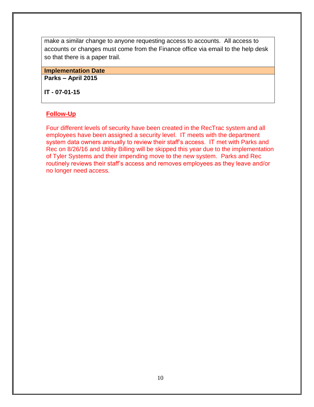make a similar change to anyone requesting access to accounts. All access to accounts or changes must come from the Finance office via email to the help desk so that there is a paper trail.

# **Implementation Date**

**Parks – April 2015**

**IT - 07-01-15**

#### **Follow-Up**

Four different levels of security have been created in the RecTrac system and all employees have been assigned a security level. IT meets with the department system data owners annually to review their staff's access. IT met with Parks and Rec on 8/26/16 and Utility Billing will be skipped this year due to the implementation of Tyler Systems and their impending move to the new system. Parks and Rec routinely reviews their staff's access and removes employees as they leave and/or no longer need access.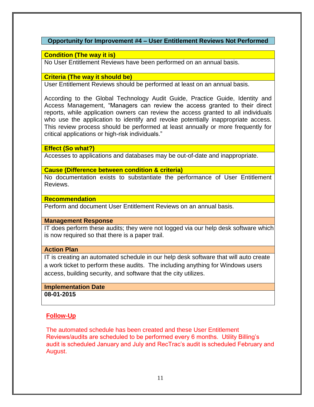# **Opportunity for Improvement #4 – User Entitlement Reviews Not Performed**

#### **Condition (The way it is)**

No User Entitlement Reviews have been performed on an annual basis.

#### **Criteria (The way it should be)**

User Entitlement Reviews should be performed at least on an annual basis.

According to the Global Technology Audit Guide, Practice Guide, Identity and Access Management, "Managers can review the access granted to their direct reports, while application owners can review the access granted to all individuals who use the application to identify and revoke potentially inappropriate access. This review process should be performed at least annually or more frequently for critical applications or high-risk individuals."

#### **Effect (So what?)**

Accesses to applications and databases may be out-of-date and inappropriate.

#### **Cause (Difference between condition & criteria)**

No documentation exists to substantiate the performance of User Entitlement Reviews.

#### **Recommendation**

Perform and document User Entitlement Reviews on an annual basis.

#### **Management Response**

IT does perform these audits; they were not logged via our help desk software which is now required so that there is a paper trail.

#### **Action Plan**

IT is creating an automated schedule in our help desk software that will auto create a work ticket to perform these audits. The including anything for Windows users access, building security, and software that the city utilizes.

# **Implementation Date**

**08-01-2015**

# **Follow-Up**

The automated schedule has been created and these User Entitlement Reviews/audits are scheduled to be performed every 6 months. Utility Billing's audit is scheduled January and July and RecTrac's audit is scheduled February and August.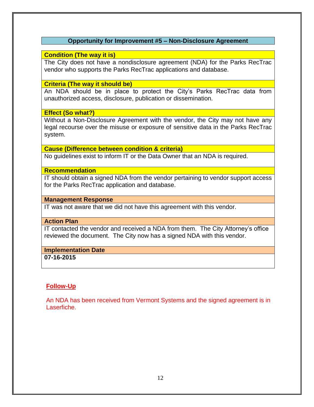### **Opportunity for Improvement #5 – Non-Disclosure Agreement**

### **Condition (The way it is)**

The City does not have a nondisclosure agreement (NDA) for the Parks RecTrac vendor who supports the Parks RecTrac applications and database.

#### **Criteria (The way it should be)**

An NDA should be in place to protect the City's Parks RecTrac data from unauthorized access, disclosure, publication or dissemination.

#### **Effect (So what?)**

Without a Non-Disclosure Agreement with the vendor, the City may not have any legal recourse over the misuse or exposure of sensitive data in the Parks RecTrac system.

# **Cause (Difference between condition & criteria)**

No guidelines exist to inform IT or the Data Owner that an NDA is required.

#### **Recommendation**

IT should obtain a signed NDA from the vendor pertaining to vendor support access for the Parks RecTrac application and database.

# **Management Response**

IT was not aware that we did not have this agreement with this vendor.

#### **Action Plan**

IT contacted the vendor and received a NDA from them. The City Attorney's office reviewed the document. The City now has a signed NDA with this vendor.

#### **Implementation Date**

**07-16-2015**

# **Follow-Up**

An NDA has been received from Vermont Systems and the signed agreement is in Laserfiche.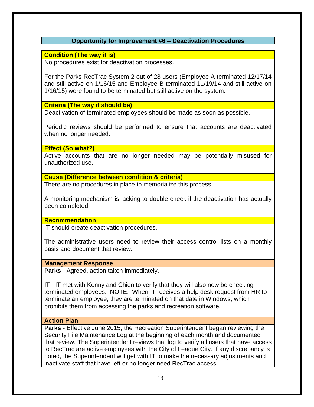# **Opportunity for Improvement #6 – Deactivation Procedures**

#### **Condition (The way it is)**

No procedures exist for deactivation processes.

For the Parks RecTrac System 2 out of 28 users (Employee A terminated 12/17/14 and still active on 1/16/15 and Employee B terminated 11/19/14 and still active on 1/16/15) were found to be terminated but still active on the system.

#### **Criteria (The way it should be)**

Deactivation of terminated employees should be made as soon as possible.

Periodic reviews should be performed to ensure that accounts are deactivated when no longer needed.

#### **Effect (So what?)**

Active accounts that are no longer needed may be potentially misused for unauthorized use.

**Cause (Difference between condition & criteria)**

There are no procedures in place to memorialize this process.

A monitoring mechanism is lacking to double check if the deactivation has actually been completed.

#### **Recommendation**

IT should create deactivation procedures.

The administrative users need to review their access control lists on a monthly basis and document that review.

#### **Management Response**

**Parks** - Agreed, action taken immediately.

**IT** - IT met with Kenny and Chien to verify that they will also now be checking terminated employees. NOTE: When IT receives a help desk request from HR to terminate an employee, they are terminated on that date in Windows, which prohibits them from accessing the parks and recreation software.

# **Action Plan**

**Parks** - Effective June 2015, the Recreation Superintendent began reviewing the Security File Maintenance Log at the beginning of each month and documented that review. The Superintendent reviews that log to verify all users that have access to RecTrac are active employees with the City of League City. If any discrepancy is noted, the Superintendent will get with IT to make the necessary adjustments and inactivate staff that have left or no longer need RecTrac access.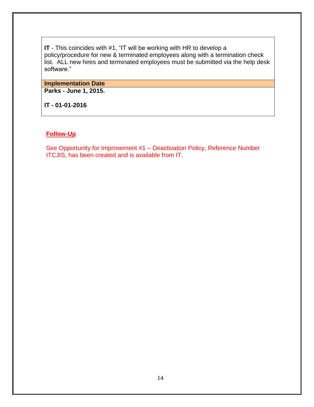**IT** - This coincides with #1, "IT will be working with HR to develop a policy/procedure for new & terminated employees along with a termination check list. ALL new hires and terminated employees must be submitted via the help desk software."

#### **Implementation Date**

**Parks - June 1, 2015.**

**IT - 01-01-2016**

# **Follow-Up**

See Opportunity for Improvement #1 – Deactivation Policy, Reference Number ITCJIS, has been created and is available from IT.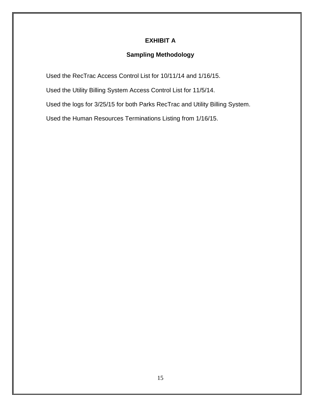# **EXHIBIT A**

# **Sampling Methodology**

<span id="page-16-0"></span>Used the RecTrac Access Control List for 10/11/14 and 1/16/15.

Used the Utility Billing System Access Control List for 11/5/14.

Used the logs for 3/25/15 for both Parks RecTrac and Utility Billing System.

Used the Human Resources Terminations Listing from 1/16/15.